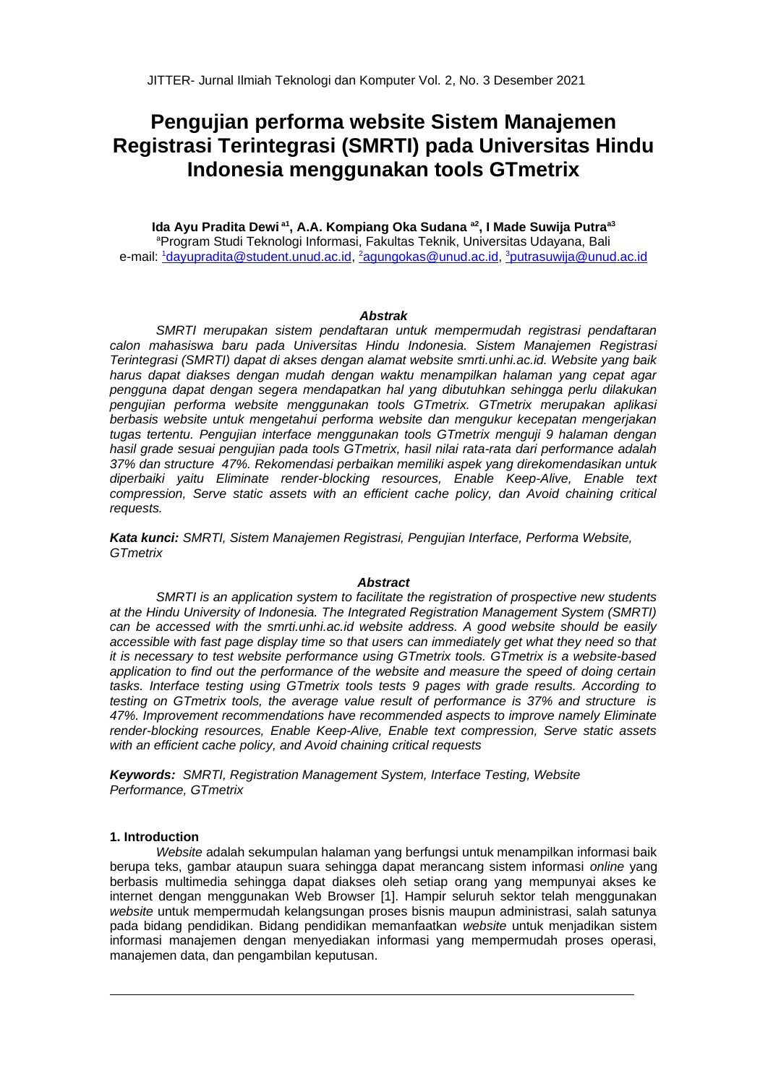# Pengujian performa website Sistem Manajemen Registrasi Terintegrasi (SMRTI) pada Universitas Hindu Indonesia menggunakan tools GTmetrix

Ida Ayu Pradita Dewi<sup>a1</sup>, A.A. Kompiang Oka Sudana<sup>a2</sup>, I Made Suwija Putra<sup>a3</sup> <sup>a</sup>Program Studi Teknologi Informasi, Fakultas Teknik, Universitas Udavana, Bali e-mail: 1dayupradita@student.unud.ac.id, 2agungokas@unud.ac.id, 3putrasuwija@unud.ac.id

#### **Abstrak**

SMRTI merupakan sistem pendaftaran untuk mempermudah registrasi pendaftaran calon mahasiswa baru pada Universitas Hindu Indonesia. Sistem Manajemen Registrasi Terintegrasi (SMRTI) dapat di akses dengan alamat website smrti.unhi.ac.id. Website yang baik harus dapat diakses dengan mudah dengan waktu menampilkan halaman yang cepat agar pengguna dapat dengan segera mendapatkan hal yang dibutuhkan sehingga perlu dilakukan penguijan performa website menggunakan tools GTmetrix. GTmetrix merupakan aplikasi berbasis website untuk mengetahui performa website dan mengukur kecepatan mengeriakan tugas tertentu. Pengujian interface menggunakan tools GTmetrix menguji 9 halaman dengan hasil grade sesuai pengujian pada tools GTmetrix, hasil nilai rata-rata dari performance adalah 37% dan structure 47%. Rekomendasi perbaikan memiliki aspek yang direkomendasikan untuk diperbaiki yaitu Eliminate render-blocking resources, Enable Keep-Alive, Enable text compression, Serve static assets with an efficient cache policy, dan Avoid chaining critical requests.

Kata kunci: SMRTI, Sistem Manajemen Registrasi, Pengujian Interface, Performa Website, **GTmetrix** 

#### **Abstract**

SMRTI is an application system to facilitate the registration of prospective new students at the Hindu University of Indonesia. The Integrated Registration Management System (SMRTI) can be accessed with the smrti.unhi.ac.id website address. A good website should be easily accessible with fast page display time so that users can immediately get what they need so that it is necessary to test website performance using GTmetrix tools. GTmetrix is a website-based application to find out the performance of the website and measure the speed of doing certain tasks. Interface testing using GTmetrix tools tests 9 pages with grade results. According to testing on GTmetrix tools, the average value result of performance is 37% and structure is 47%. Improvement recommendations have recommended aspects to improve namely Eliminate render-blocking resources. Enable Keep-Alive. Enable text compression. Serve static assets with an efficient cache policy, and Avoid chaining critical requests

**Keywords: SMRTI, Registration Management System, Interface Testing, Website** Performance, GTmetrix

#### 1. Introduction

Website adalah sekumpulan halaman yang berfungsi untuk menampilkan informasi baik berupa teks, gambar ataupun suara sehingga dapat merancang sistem informasi online yang berbasis multimedia sehingga dapat diakses oleh setiap orang yang mempunyai akses ke internet dengan menggunakan Web Browser [1]. Hampir seluruh sektor telah menggunakan website untuk mempermudah kelangsungan proses bisnis maupun administrasi, salah satunya pada bidang pendidikan. Bidang pendidikan memanfaatkan website untuk menjadikan sistem informasi manajemen dengan menyediakan informasi yang mempermudah proses operasi, manajemen data, dan pengambilan keputusan.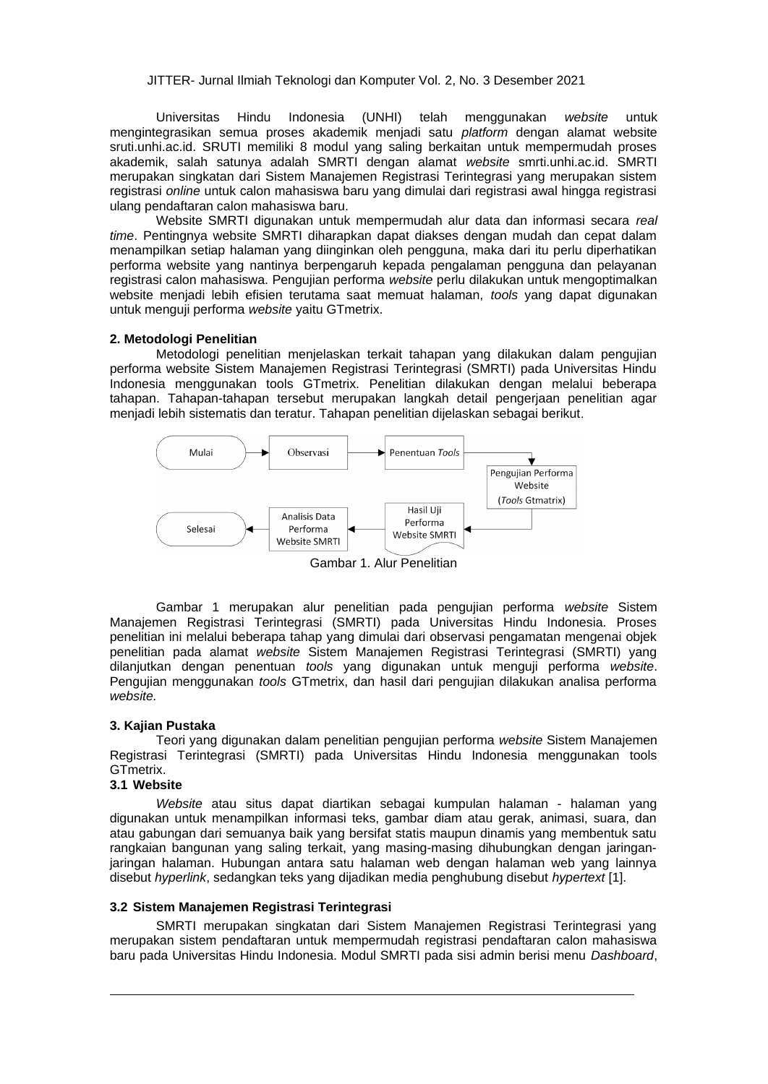(UNHI) Universitas Hindu Indonesia telah menggunakan website untuk mengintegrasikan semua proses akademik menjadi satu platform dengan alamat website sruti.unhi.ac.id. SRUTI memiliki 8 modul yang saling berkaitan untuk mempermudah proses akademik, salah satunya adalah SMRTI dengan alamat website smrti.unhi.ac.id. SMRTI merupakan singkatan dari Sistem Manajemen Registrasi Terintegrasi yang merupakan sistem registrasi online untuk calon mahasiswa baru yang dimulai dari registrasi awal hingga registrasi ulang pendaftaran calon mahasiswa baru.

Website SMRTI digunakan untuk mempermudah alur data dan informasi secara real time. Pentingnya website SMRTI diharapkan dapat diakses dengan mudah dan cepat dalam menampilkan setiap halaman yang diinginkan oleh pengguna, maka dari itu perlu diperhatikan performa website yang nantinya berpengaruh kepada pengalaman pengguna dan pelayanan registrasi calon mahasiswa. Pengujian performa website perlu dilakukan untuk mengoptimalkan website menjadi lebih efisien terutama saat memuat halaman, tools yang dapat digunakan untuk menguji performa website yaitu GTmetrix.

### 2. Metodologi Penelitian

Metodologi penelitian menjelaskan terkait tahapan yang dilakukan dalam pengujian performa website Sistem Manajemen Registrasi Terintegrasi (SMRTI) pada Universitas Hindu Indonesia menggunakan tools GTmetrix. Penelitian dilakukan dengan melalui beberapa tahapan. Tahapan-tahapan tersebut merupakan langkah detail pengerjaan penelitian agar menjadi lebih sistematis dan teratur. Tahapan penelitian dijelaskan sebagai berikut.



Gambar 1. Alur Penelitian

Gambar 1 merupakan alur penelitian pada pengujian performa website Sistem Manajemen Registrasi Terintegrasi (SMRTI) pada Universitas Hindu Indonesia. Proses penelitian ini melalui beberapa tahap yang dimulai dari observasi pengamatan mengenai objek penelitian pada alamat website Sistem Manajemen Registrasi Terintegrasi (SMRTI) yang dilanjutkan dengan penentuan tools yang digunakan untuk menguji performa website. Pengujian menggunakan tools GTmetrix, dan hasil dari pengujian dilakukan analisa performa website.

### 3. Kajian Pustaka

Teori vang digunakan dalam penelitian pengujian performa website Sistem Manajemen Registrasi Terintegrasi (SMRTI) pada Universitas Hindu Indonesia menggunakan tools GTmetrix.

## 3.1 Website

Website atau situs dapat diartikan sebagai kumpulan halaman - halaman yang digunakan untuk menampilkan informasi teks, gambar diam atau gerak, animasi, suara, dan atau gabungan dari semuanya baik yang bersifat statis maupun dinamis yang membentuk satu rangkaian bangunan yang saling terkait, yang masing-masing dihubungkan dengan jaringanjaringan halaman. Hubungan antara satu halaman web dengan halaman web yang lainnya disebut hyperlink, sedangkan teks yang dijadikan media penghubung disebut hypertext [1].

## 3.2 Sistem Manajemen Registrasi Terintegrasi

SMRTI merupakan singkatan dari Sistem Manajemen Registrasi Terintegrasi yang merupakan sistem pendaftaran untuk mempermudah registrasi pendaftaran calon mahasiswa baru pada Universitas Hindu Indonesia. Modul SMRTI pada sisi admin berisi menu Dashboard,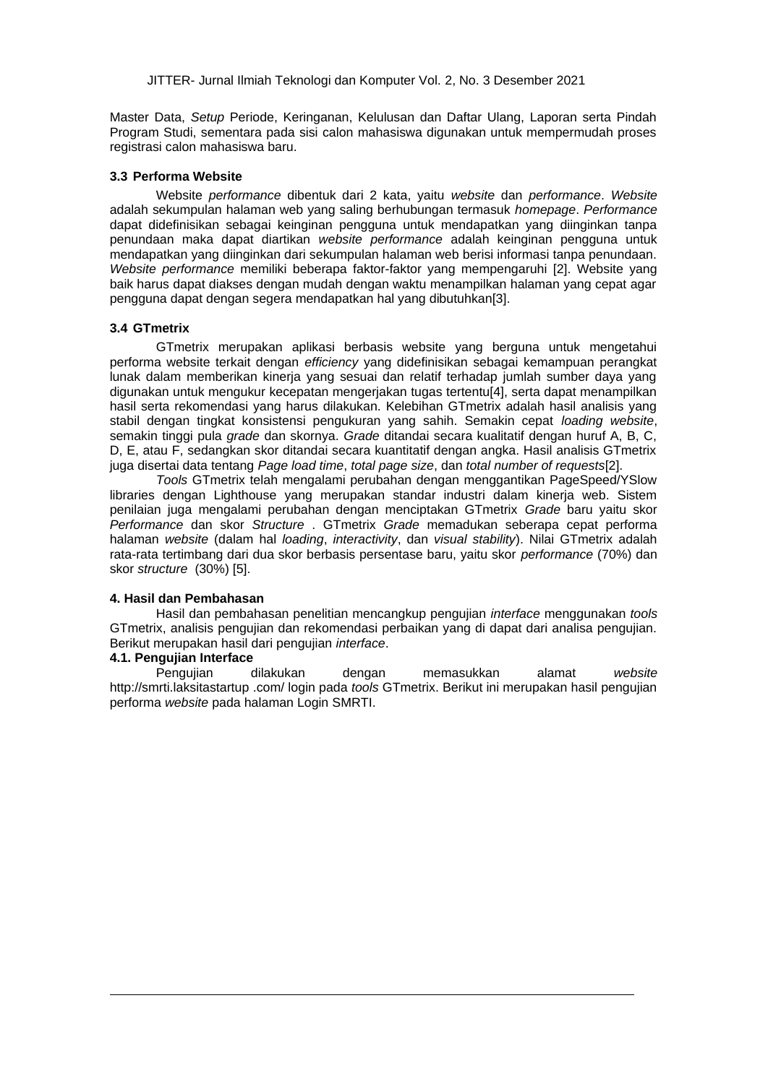Master Data, Setup Periode, Keringanan, Kelulusan dan Daftar Ulang, Laporan serta Pindah Program Studi, sementara pada sisi calon mahasiswa digunakan untuk mempermudah proses registrasi calon mahasiswa baru.

#### 3.3 Performa Website

Website performance dibentuk dari 2 kata, yaitu website dan performance. Website adalah sekumpulan halaman web yang saling berhubungan termasuk homepage. Performance dapat didefinisikan sebagai keinginan pengguna untuk mendapatkan yang diinginkan tanpa penundaan maka dapat diartikan website performance adalah keinginan pengguna untuk mendapatkan yang diinginkan dari sekumpulan halaman web berisi informasi tanpa penundaan. Website performance memiliki beberapa faktor-faktor yang mempengaruhi [2]. Website yang baik harus dapat diakses dengan mudah dengan waktu menampilkan halaman yang cepat agar pengguna dapat dengan segera mendapatkan hal yang dibutuhkan[3].

#### 3.4 GTmetrix

GTmetrix merupakan aplikasi berbasis website yang berguna untuk mengetahui performa website terkait dengan efficiency yang didefinisikan sebagai kemampuan perangkat lunak dalam memberikan kineria yang sesuai dan relatif terhadap jumlah sumber daya yang digunakan untuk mengukur kecepatan mengerjakan tugas tertentu[4], serta dapat menampilkan hasil serta rekomendasi yang harus dilakukan. Kelebihan GTmetrix adalah hasil analisis yang stabil dengan tingkat konsistensi pengukuran yang sahih. Semakin cepat loading website, semakin tinggi pula grade dan skornya. Grade ditandai secara kualitatif dengan huruf A, B, C, D, E, atau F, sedangkan skor ditandai secara kuantitatif dengan angka. Hasil analisis GTmetrix juga disertai data tentang Page load time, total page size, dan total number of requests[2].

Tools GTmetrix telah mengalami perubahan dengan menggantikan PageSpeed/YSlow libraries dengan Lighthouse yang merupakan standar industri dalam kinerja web. Sistem penilaian juga mengalami perubahan dengan menciptakan GTmetrix Grade baru yaitu skor Performance dan skor Structure . GTmetrix Grade memadukan seberapa cepat performa halaman website (dalam hal loading, interactivity, dan visual stability). Nilai GTmetrix adalah rata-rata tertimbang dari dua skor berbasis persentase baru, yaitu skor performance (70%) dan skor structure (30%) [5].

#### 4. Hasil dan Pembahasan

Hasil dan pembahasan penelitian mencangkup pengujian *interface* menggunakan tools GTmetrix, analisis pengujian dan rekomendasi perbaikan yang di dapat dari analisa pengujian. Berikut merupakan hasil dari pengujian interface.

## 4.1. Penguiian Interface

Penguiian dilakukan dengan memasukkan alamat website http://smrti.laksitastartup .com/ login pada tools GTmetrix. Berikut ini merupakan hasil pengujian performa website pada halaman Login SMRTI.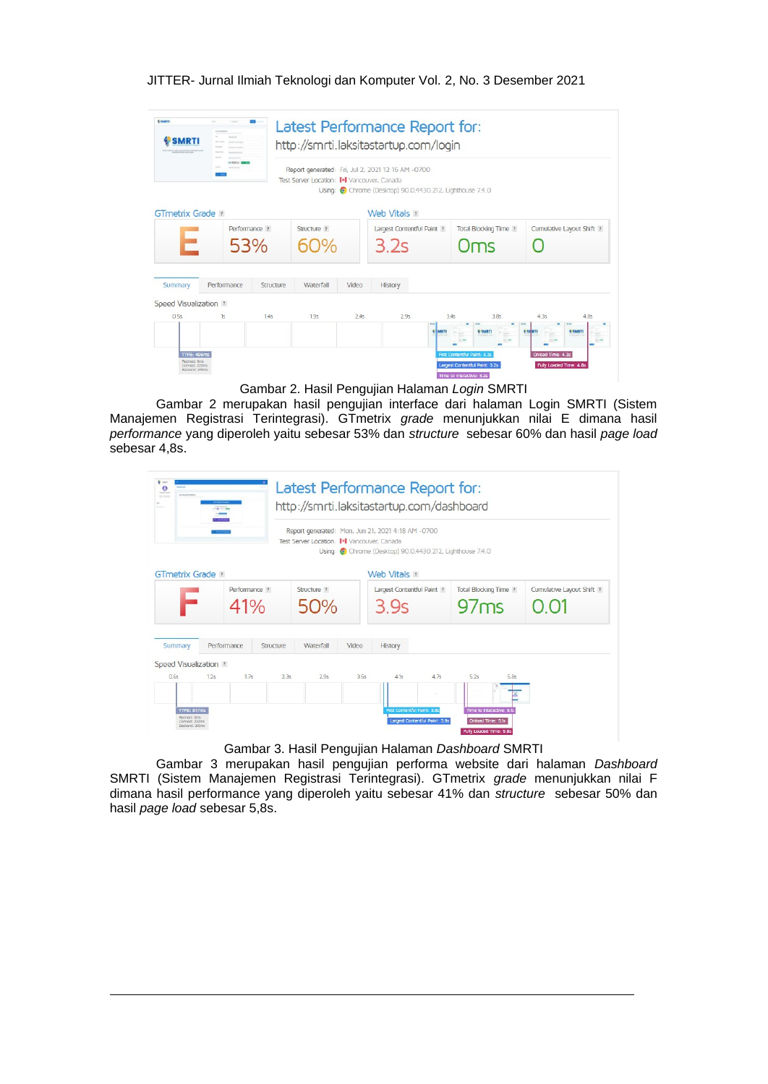|                               | earges: 8            |           |                                             |       | http://smrti.laksitastartup.com/login<br>Report generated: Fri, Jul 2, 2021 12:16 AM -0700 |                              |                           |
|-------------------------------|----------------------|-----------|---------------------------------------------|-------|--------------------------------------------------------------------------------------------|------------------------------|---------------------------|
| <b>GTmetrix Grade</b> ?       |                      |           | Test Server Location: I+I Vancouver, Canada |       | Using: Chrome (Desktop) 90.0.4430.212, Lighthouse 7.4.0<br>Web Vitals ?                    |                              |                           |
|                               | Performance ?<br>53% |           | Structure ?                                 |       | Largest Contentful Paint ?<br>3.2s                                                         | Total Blocking Time ?<br>)ms | Cumulative Layout Shift ? |
| Summary                       | Performance          | Structure | Waterfall                                   | Video | <b>History</b>                                                                             |                              |                           |
| Speed Visualization ?<br>0.5s | 1s                   | 1.45      | 1.95                                        | 2.4s  | 2.9s                                                                                       | 3.45<br>3.8s                 | 4.3s<br>4.8s              |
|                               |                      |           |                                             |       |                                                                                            |                              | SMRT                      |

Gambar 2. Hasil Pengujian Halaman Login SMRTI

Gambar 2 merupakan hasil pengujian interface dari halaman Login SMRTI (Sistem Manajemen Registrasi Terintegrasi). GTmetrix grade menunjukkan nilai E dimana hasil performance yang diperoleh yaitu sebesar 53% dan structure sebesar 60% dan hasil page load sebesar 4.8s.

|                               |      |                      |           | Test Server Location: I+I Vancouver, Canada |       | Report generated: Mon, Jun 21, 2021 4:18 AM -0700<br>Using: Chrome (Desktop) 90.0.4430.212, Lighthouse 7.4.0 |                                      |                           |
|-------------------------------|------|----------------------|-----------|---------------------------------------------|-------|--------------------------------------------------------------------------------------------------------------|--------------------------------------|---------------------------|
| <b>GTmetrix Grade</b> ?       |      | Performance ?<br>41% |           | Structure ?<br>50%                          |       | Web Vitals ?<br>Largest Contentful Paint ?<br>3 9s                                                           | <b>Total Blocking Time ?</b><br>97ms | Cumulative Layout Shift ? |
| Summary                       |      | Performance          | Structure | Waterfall                                   | Video | History                                                                                                      |                                      |                           |
| Speed Visualization ?<br>0.6s | 1.2s | 1.75                 | 2.3s      | 2.9s                                        | 3.5s  | 41s<br>47s                                                                                                   | 5.2s<br>5.8s                         |                           |

Gambar 3. Hasil Pengujian Halaman Dashboard SMRTI

Gambar 3 merupakan hasil pengujian performa website dari halaman Dashboard SMRTI (Sistem Manajemen Registrasi Terintegrasi). GTmetrix grade menunjukkan nilai F dimana hasil performance yang diperoleh yaitu sebesar 41% dan structure sebesar 50% dan hasil page load sebesar 5,8s.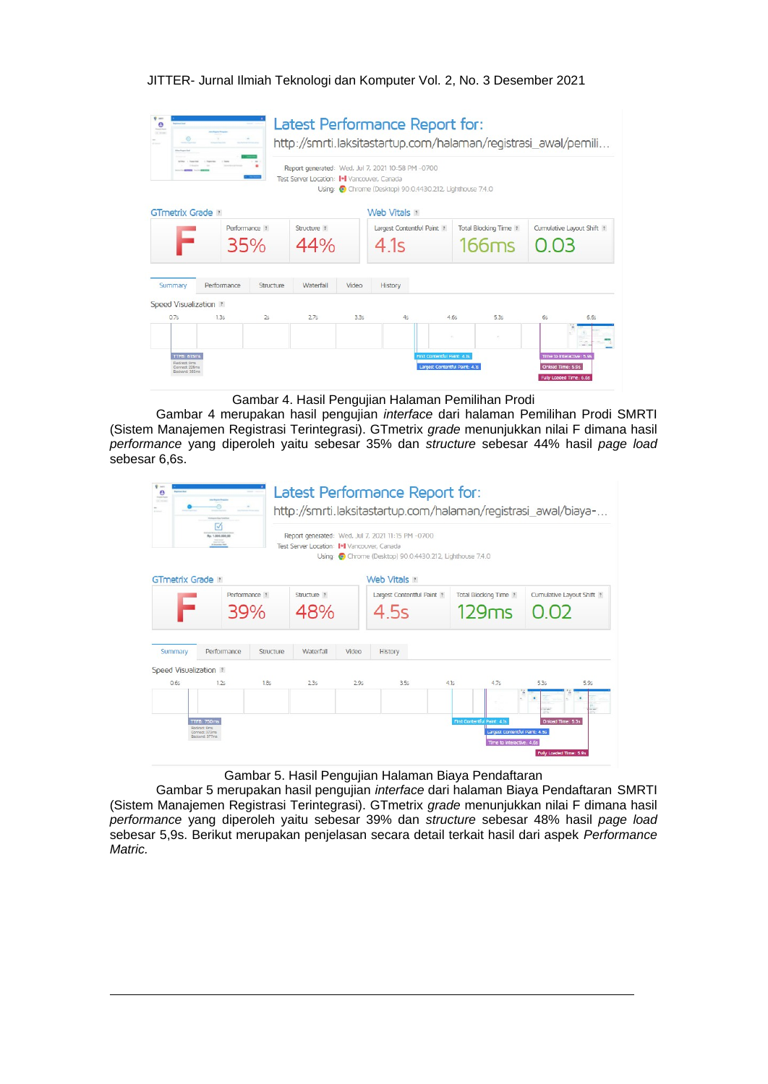|                       |             |                      | Test Server Location: I+I Vancouver, Canada |       | Report generated: Wed, Jul 7, 2021 10:58 PM -0700<br>Using: Chrome (Desktop) 90.0.4430.212, Lighthouse 7.4.0 |     |                                |    |                           |
|-----------------------|-------------|----------------------|---------------------------------------------|-------|--------------------------------------------------------------------------------------------------------------|-----|--------------------------------|----|---------------------------|
| GTmetrix Grade ?      |             |                      |                                             |       | Web Vitals ?                                                                                                 |     |                                |    |                           |
|                       |             | Performance ?<br>35% | Structure ?<br>44%                          |       | Largest Contentful Paint ?<br>4.1s                                                                           |     | Total Blocking Time ?<br>166ms |    | Cumulative Layout Shift ? |
| Summary               | Performance | Structure            | Waterfall                                   | Video | <b>History</b>                                                                                               |     |                                |    |                           |
|                       |             |                      |                                             |       |                                                                                                              |     |                                |    |                           |
| Speed Visualization ? |             | 2s                   | 2.7s                                        | 3.35  | 45                                                                                                           | 46s | 5.35                           | 65 | 6.6s                      |
| 0.7s                  | 1.35        |                      |                                             |       |                                                                                                              |     |                                |    |                           |

Gambar 4. Hasil Pengujian Halaman Pemilihan Prodi

Gambar 4 merupakan hasil pengujian interface dari halaman Pemilihan Prodi SMRTI (Sistem Manajemen Registrasi Terintegrasi). GTmetrix grade menunjukkan nilai F dimana hasil performance vang diperoleh vaitu sebesar 35% dan structure sebesar 44% hasil page load sebesar 6,6s.

|                         | Rp. 1.000.000.00<br>$\frac{1}{n} \frac{1}{\log n} \frac{1}{n} \frac{1}{n} \frac{1}{n} \frac{1}{n} \frac{1}{n} \frac{1}{n} \frac{1}{n} \frac{1}{n} \frac{1}{n} \frac{1}{n} \frac{1}{n} \frac{1}{n} \frac{1}{n} \frac{1}{n} \frac{1}{n} \frac{1}{n} \frac{1}{n} \frac{1}{n} \frac{1}{n} \frac{1}{n} \frac{1}{n} \frac{1}{n} \frac{1}{n} \frac{1}{n} \frac{1}{n} \frac{1}{n} \frac{1}{n} \frac{1}{n} \frac{1}{n} \$ |                  | Test Server Location: I+I Vancouver, Canada |       | Report generated: Wed, Jul 7, 2021 11:15 PM -0700<br>Using: Chrome (Desktop) 90.0.4430.212, Lighthouse 7.4.0 |      |                                                             |                            |
|-------------------------|------------------------------------------------------------------------------------------------------------------------------------------------------------------------------------------------------------------------------------------------------------------------------------------------------------------------------------------------------------------------------------------------------------------|------------------|---------------------------------------------|-------|--------------------------------------------------------------------------------------------------------------|------|-------------------------------------------------------------|----------------------------|
| <b>GTmetrix Grade</b> ? |                                                                                                                                                                                                                                                                                                                                                                                                                  |                  |                                             |       | Web Vitals ?                                                                                                 |      |                                                             |                            |
|                         | Performance ?<br>39%                                                                                                                                                                                                                                                                                                                                                                                             |                  | Structure ?<br>48%                          |       | Largest Contentful Paint ?<br>4 5s                                                                           |      | <b>Total Blocking Time ?</b><br>129ms                       | Cumulative Layout Shift ?  |
| Summary                 | Performance                                                                                                                                                                                                                                                                                                                                                                                                      | Structure        | Waterfall                                   | Video | History                                                                                                      |      |                                                             |                            |
| Speed Visualization ?   |                                                                                                                                                                                                                                                                                                                                                                                                                  |                  |                                             |       |                                                                                                              |      |                                                             |                            |
| 0.6s                    | 1.2s                                                                                                                                                                                                                                                                                                                                                                                                             | 1.8 <sub>5</sub> | 2.3s                                        | 2.9s  | 3.5s                                                                                                         | 4.15 | 4.7s                                                        | 5.3s<br>5.9s               |
|                         |                                                                                                                                                                                                                                                                                                                                                                                                                  |                  |                                             |       |                                                                                                              |      |                                                             | <b>SOM</b><br><b>Grand</b> |
|                         | TTFB: 750ms                                                                                                                                                                                                                                                                                                                                                                                                      |                  |                                             |       |                                                                                                              |      | First Contentful Paint: 4.1s                                | Onload Time: 5.3s          |
|                         | Redrect: Ons<br>Connect: 373ms<br>Backend: 377ms                                                                                                                                                                                                                                                                                                                                                                 |                  |                                             |       |                                                                                                              |      | Largest Contentful Paint: 4.5s<br>Time to Interactive: 4.6s |                            |

Gambar 5. Hasil Pengujian Halaman Biaya Pendaftaran

Gambar 5 merupakan hasil pengujian interface dari halaman Biaya Pendaftaran SMRTI (Sistem Manajemen Registrasi Terintegrasi). GTmetrix grade menunjukkan nilai F dimana hasil performance yang diperoleh yaitu sebesar 39% dan structure sebesar 48% hasil page load sebesar 5,9s. Berikut merupakan penjelasan secara detail terkait hasil dari aspek Performance Matric.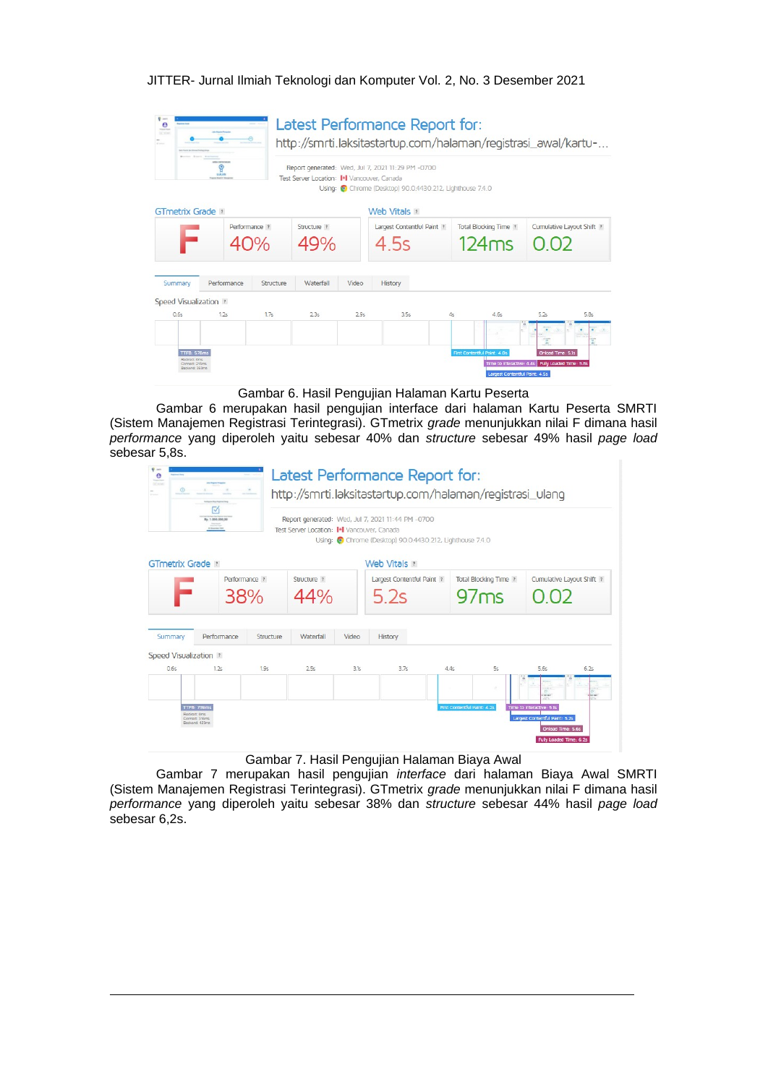| $\bullet$<br><b>San Francisco</b><br><b>ACMING</b> | AMIA DIVISIONS<br><b>LULUS</b><br><b>Contract Students</b> |           | Test Server Location: I+I Vancouver, Canada |       | Latest Performance Report for:<br>http://smrti.laksitastartup.com/halaman/registrasi_awal/kartu-<br>Report generated: Wed, Jul 7, 2021 11:29 PM -0700<br>Using: Chrome (Desktop) 90.0.4430.212, Lighthouse 7.4.0 |                                       |                                                                          |
|----------------------------------------------------|------------------------------------------------------------|-----------|---------------------------------------------|-------|------------------------------------------------------------------------------------------------------------------------------------------------------------------------------------------------------------------|---------------------------------------|--------------------------------------------------------------------------|
| <b>GTmetrix Grade</b> ?                            |                                                            |           |                                             |       | Web Vitals ?                                                                                                                                                                                                     |                                       |                                                                          |
|                                                    | Performance ?<br>40%                                       |           | Structure ?<br>49%                          |       | Largest Contentful Paint ?<br>4 5s                                                                                                                                                                               | <b>Total Blocking Time ?</b><br>124ms | Cumulative Layout Shift ?<br>$\cup$                                      |
| Summary                                            | Performance                                                | Structure | Waterfall                                   | Video | <b>History</b>                                                                                                                                                                                                   |                                       |                                                                          |
| Speed Visualization ?<br>0.6s                      | 12s                                                        | 17s       | 2.35                                        | 2.9s  | 3.5s                                                                                                                                                                                                             | 4.65<br>4s                            | 52s<br>5.8s                                                              |
| <b>TTFB: 578ms</b><br>Redirect: Oms                | Connect: 215ms                                             |           |                                             |       |                                                                                                                                                                                                                  | First Contentful Paint: 4.0s          | Onload Time: 5.1s<br>Time to Interactive: 4.4s   Pully Loaded Time: 5.8s |

Gambar 6. Hasil Pengujian Halaman Kartu Peserta

Gambar 6 merupakan hasil pengujian interface dari halaman Kartu Peserta SMRTI (Sistem Manajemen Registrasi Terintegrasi). GTmetrix grade menunjukkan nilai F dimana hasil performance yang diperoleh yaitu sebesar 40% dan structure sebesar 49% hasil page load sebesar 5,8s.

| $\frac{1}{2}$<br>$\theta$<br><b>BC</b> week |                                                                                                                    |           |                                                          |       | Latest Performance Report for:<br>http://smrti.laksitastartup.com/halaman/registrasi_ulang                   |                                        |                                                                                  |      |
|---------------------------------------------|--------------------------------------------------------------------------------------------------------------------|-----------|----------------------------------------------------------|-------|--------------------------------------------------------------------------------------------------------------|----------------------------------------|----------------------------------------------------------------------------------|------|
|                                             | Rp. 1.000.000.00<br>$\begin{array}{c} \begin{array}{c} \text{non-odd } \\ \text{non-odd } \end{array} \end{array}$ |           | Test Server Location: I <sup>+</sup> I Vancouver, Canada |       | Report generated: Wed, Jul 7, 2021 11:44 PM -0700<br>Using: Chrome (Desktop) 90.0.4430.212, Lighthouse 7.4.0 |                                        |                                                                                  |      |
| <b>GTmetrix Grade</b> ?                     |                                                                                                                    |           |                                                          |       | Web Vitals ?                                                                                                 |                                        |                                                                                  |      |
|                                             | Performance ?<br>38%                                                                                               |           | Structure ?<br>44%                                       |       | Largest Contentful Paint ?<br>5.2s                                                                           | Total Blocking Time ?<br>97ms          | Cumulative Layout Shift ?<br>002                                                 |      |
| Summary                                     | Performance                                                                                                        | Structure | Waterfall                                                | Video | <b>History</b>                                                                                               |                                        |                                                                                  |      |
| Speed Visualization ?                       |                                                                                                                    |           |                                                          |       |                                                                                                              |                                        |                                                                                  |      |
| 0.6s                                        | 1.2s                                                                                                               | 1.9s      | 2.5s                                                     | 3.1s  | 3.7s                                                                                                         | 5s<br>4.4s                             | 5.65                                                                             | 6.2s |
|                                             | <b>TTFB: 739ms</b><br>Redirect: Oms<br>Connect: 316ms<br>Backend: 423ms                                            |           |                                                          |       |                                                                                                              | $\sim$<br>First Contentful Paint: 4.2s | Time to Interactive: 5.1s<br>Largest Contentful Paint: 5.2s<br>Onload Time: 5.6s |      |

Gambar 7. Hasil Pengujian Halaman Biaya Awal

Gambar 7 merupakan hasil pengujian interface dari halaman Biaya Awal SMRTI (Sistem Manajemen Registrasi Terintegrasi). GTmetrix grade menunjukkan nilai F dimana hasil performance yang diperoleh yaitu sebesar 38% dan structure sebesar 44% hasil page load sebesar 6,2s.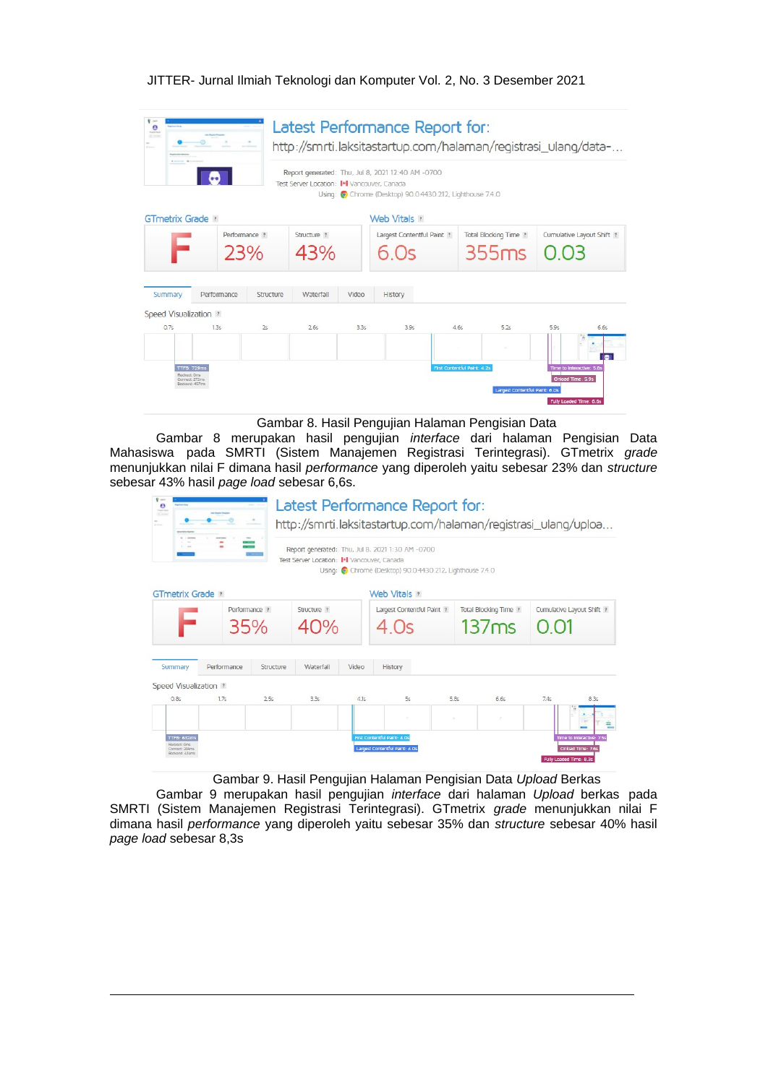| 197 mine<br>Reserves from 100 centres |                                                        |                      | Test Server Location: I +I Vancouver, Canada |       | Latest Performance Report for:<br>Report generated: Thu, Jul 8, 2021 12:40 AM -0700<br>Using: Chrome (Desktop) 90.0.4430.212, Lighthouse 7.4.0 |      | http://smrti.laksitastartup.com/halaman/registrasi_ulang/data- |                                                |      |
|---------------------------------------|--------------------------------------------------------|----------------------|----------------------------------------------|-------|------------------------------------------------------------------------------------------------------------------------------------------------|------|----------------------------------------------------------------|------------------------------------------------|------|
| <b>GTmetrix Grade</b> ?               |                                                        |                      |                                              |       | Web Vitals ?                                                                                                                                   |      |                                                                |                                                |      |
|                                       |                                                        | Performance ?<br>23% | Structure ?<br>43%                           |       | Largest Contentful Paint ?<br>6 Os                                                                                                             |      | Total Blocking Time ?<br>355ms                                 | Cumulative Layout Shift ?                      |      |
| Summary                               | Performance                                            | Structure            | Waterfall                                    | Video | History                                                                                                                                        |      |                                                                |                                                |      |
| Speed Visualization ?                 |                                                        |                      |                                              |       |                                                                                                                                                |      |                                                                |                                                |      |
| 0.7s                                  | 1.3s                                                   | 2s                   | 2.6s                                         | 3.3s  | 3.9s                                                                                                                                           | 4.65 | 5.25                                                           | 5.9s                                           | 6.65 |
|                                       |                                                        |                      |                                              |       |                                                                                                                                                |      |                                                                |                                                |      |
| Redirect: Oms                         | <b>TTFB: 729ms</b><br>Connect: 272ms<br>Backend: 457ms |                      |                                              |       |                                                                                                                                                |      | First Contentful Paint: 4.25<br>Largest Contentful Paint: 6.0s | Time to Interactive: 5.8s<br>Onload Time: 5.9s |      |

Gambar 8. Hasil Pengujian Halaman Pengisian Data

Gambar 8 merupakan hasil pengujian interface dari halaman Pengisian Data Mahasiswa pada SMRTI (Sistem Manajemen Registrasi Terintegrasi). GTmetrix grade menunjukkan nilai F dimana hasil performance yang diperoleh yaitu sebesar 23% dan structure sebesar 43% hasil page load sebesar 6,6s.

| <b>Signals</b><br>OCHH                                |             |               | Test Server Location: I+I Vancouver, Canada |       | Latest Performance Report for:<br>Report generated: Thu, Jul 8, 2021 1:30 AM -0700<br>Using: C Chrome (Desktop) 90.0.4430.212, Lighthouse 7.4.0 |      | http://smrti.laksitastartup.com/halaman/registrasi_ulang/uploa |      |                                                |
|-------------------------------------------------------|-------------|---------------|---------------------------------------------|-------|-------------------------------------------------------------------------------------------------------------------------------------------------|------|----------------------------------------------------------------|------|------------------------------------------------|
| GTmetrix Grade ?                                      |             | Performance ? | Structure ?                                 |       | Web Vitals ?<br>Largest Contentful Paint ?                                                                                                      |      | <b>Total Blocking Time ?</b>                                   |      | Cumulative Layout Shift ?                      |
|                                                       | 35%         |               |                                             |       |                                                                                                                                                 |      | 137ms                                                          |      |                                                |
| Summary                                               | Performance | Structure     | Waterfall                                   | Video | <b>History</b>                                                                                                                                  |      |                                                                |      |                                                |
| Speed Visualization ?                                 |             |               |                                             |       |                                                                                                                                                 |      |                                                                |      |                                                |
| 0.8s                                                  | 1.7s        | 2.5s          | 3.3s                                        | 4.1s  | 55                                                                                                                                              | 5.8s | 6.65                                                           | 7.4s | 8.3s                                           |
|                                                       |             |               |                                             |       | $\sim$                                                                                                                                          |      | $\mathcal{Q}_1$                                                |      |                                                |
| <b>TTFB: 632ms</b><br>Redirect: Oms<br>Connect: 208ms |             |               |                                             |       | First Contentful Paint: 4.0s<br>Largest Contentful Paint: 4.0s                                                                                  |      |                                                                |      | Time to Interactive: 7.5s<br>Onload Time: 7.6s |

Gambar 9. Hasil Pengujian Halaman Pengisian Data Upload Berkas

Gambar 9 merupakan hasil pengujian interface dari halaman Upload berkas pada SMRTI (Sistem Manajemen Registrasi Terintegrasi). GTmetrix grade menunjukkan nilai F dimana hasil performance yang diperoleh yaitu sebesar 35% dan structure sebesar 40% hasil page load sebesar 8,3s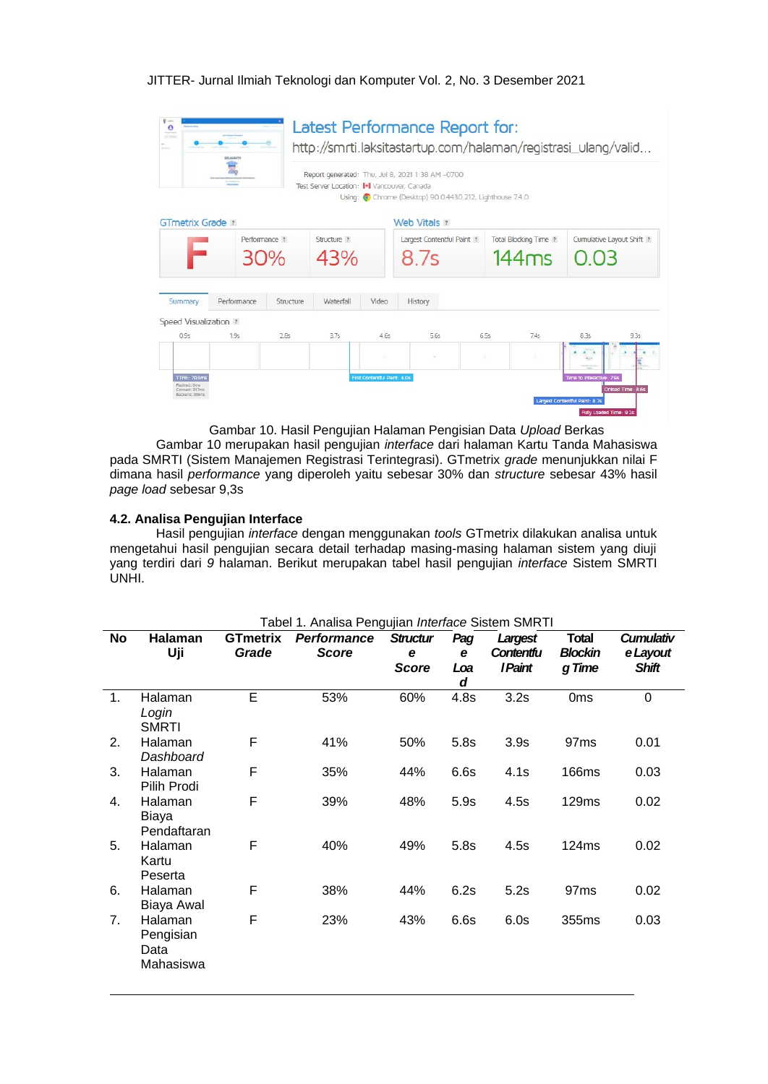| $9 - 1$<br>$\bullet$<br><b>Name of</b><br>OC month     | SELAMATE                        |           |                                             |                              | Latest Performance Report for:                                                                              |        | http://smrti.laksitastartup.com/halaman/registrasi_ulang/valid |                           |                            |
|--------------------------------------------------------|---------------------------------|-----------|---------------------------------------------|------------------------------|-------------------------------------------------------------------------------------------------------------|--------|----------------------------------------------------------------|---------------------------|----------------------------|
|                                                        | <b><i><u>SALES GALL</u></i></b> |           | Test Server Location: I+I Vancouver, Canada |                              | Report generated: Thu, Jul 8, 2021 1:38 AM -0700<br>Using: Chrome (Desktop) 90.0.4430.212, Lighthouse 7.4.0 |        |                                                                |                           |                            |
| GTmetrix Grade ?                                       |                                 |           |                                             |                              | Web Vitals ?                                                                                                |        |                                                                |                           |                            |
|                                                        | Performance ?<br>30%            |           | Structure ?<br>43%                          |                              | Largest Contentful Paint ?<br>8 7s                                                                          |        | Total Blocking Time ?<br>144ms                                 |                           | Curnulative Layout Shift ? |
| Summary                                                | Performance                     | Structure | Waterfall                                   | Video                        | History                                                                                                     |        |                                                                |                           |                            |
| Speed Visualization ?                                  |                                 |           |                                             |                              |                                                                                                             |        |                                                                |                           |                            |
| 0.95                                                   | 1.95                            | 2.85      | 3.75                                        | 4.65                         | 5.65                                                                                                        | 6.55   | 74s                                                            | 8.35                      | 9.35                       |
|                                                        |                                 |           |                                             | 187                          |                                                                                                             | $\sim$ | $\mathcal{M}$ .                                                |                           |                            |
| <b>TTFB: 703ms</b><br>Redirect: Oms.<br>Connect: 317ms |                                 |           |                                             | First Contentful Paint: 4.0s |                                                                                                             |        |                                                                | Time to Interactive: 7.9s | Onload Time: 8.6s          |

Gambar 10. Hasil Pengujian Halaman Pengisian Data Upload Berkas

Gambar 10 merupakan hasil pengujian interface dari halaman Kartu Tanda Mahasiswa pada SMRTI (Sistem Manajemen Registrasi Terintegrasi). GTmetrix grade menunjukkan nilai F dimana hasil performance yang diperoleh yaitu sebesar 30% dan structure sebesar 43% hasil page load sebesar 9,3s

### 4.2. Analisa Pengujian Interface

Hasil pengujian interface dengan menggunakan tools GTmetrix dilakukan analisa untuk mengetahui hasil pengujian secara detail terhadap masing-masing halaman sistem yang diuji vang terdiri dari 9 halaman. Berikut merupakan tabel hasil pengujian interface Sistem SMRTI UNHI.

Tabel 1. Analisa Pengujian Interface Sistem SMRTI **No GTmetrix Performance Structur Cumulativ** Halaman Pag Largest **Total** Uji Grade **Score** Contentfu **Blockin** e Layout  $\mathbf{e}$  $\mathbf{e}$ **Score** Loa **I Paint** g Time **Shift**  $\boldsymbol{d}$  $\overline{1}$ . Halaman  $E$ 53% 60%  $3.2s$  $0<sub>ms</sub>$  $\overline{0}$  $4.8s$ Loain SMRTI  $2<sub>1</sub>$ Halaman  $\mathsf{F}$ 41% 50%  $5.8s$  $3.9s$ 97<sub>ms</sub>  $0.01$ **Dashboard**  $\overline{F}$ 44%  $0.03$  $\mathcal{R}$ Halaman 35%  $6.6s$  $4.1s$ 166ms Pilih Prodi  $\overline{4}$ . Halaman E 39% 48%  $5.9s$  $4.5s$  $0.02$ 129ms **Biava** Pendaftaran 5. Halaman  $\mathsf{F}$ 40% 49%  $5.8s$  $4.5s$ 124ms  $0.02$ Kartu Peserta Halaman  $\mathsf{F}$ 38% 44%  $6.2s$  $5.2s$  $97ms$  $0.02$ 6. **Biaya Awal** 43%  $7.$ Halaman  $\mathsf{F}$ 23%  $6.6s$  $6.0s$ 355ms  $0.03$ Pengisian Data Mahasiswa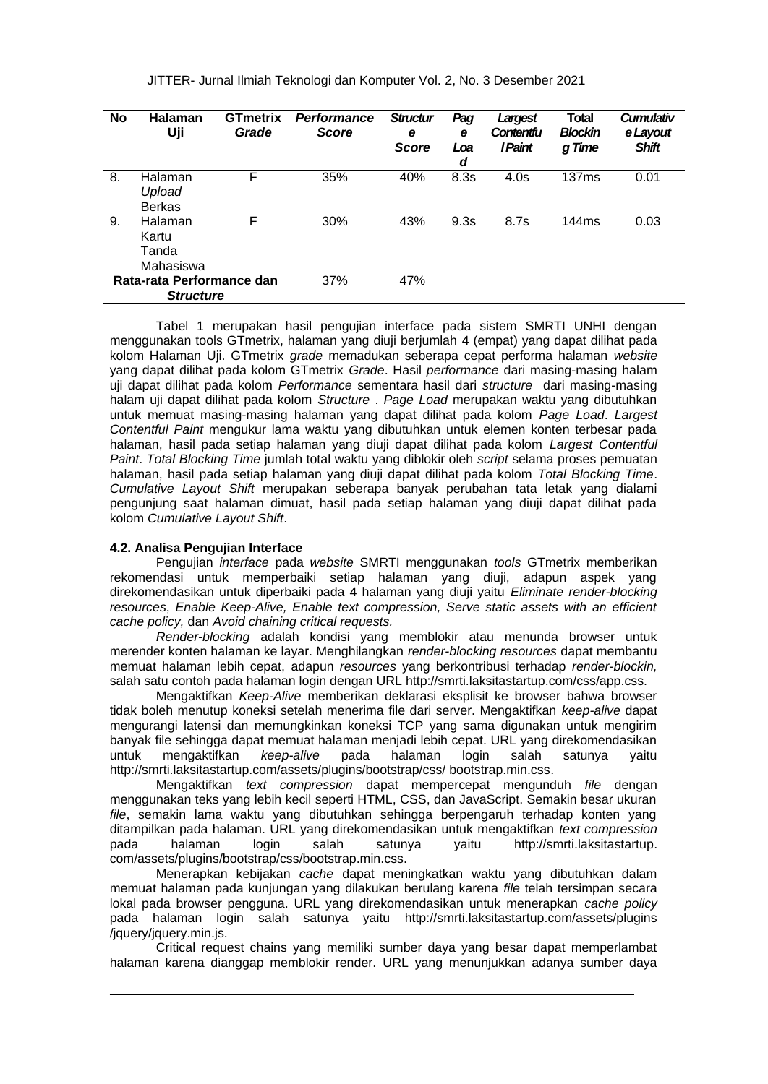| <b>No</b> | <b>Halaman</b><br>Uji                         | <b>GTmetrix</b><br>Grade | <b>Performance</b><br><b>Score</b> | <b>Structur</b><br>e<br><b>Score</b> | Pag<br>e<br>Loa<br>d | Largest<br>Contentfu<br><i>I Paint</i> | <b>Total</b><br><b>Blockin</b><br>g Time | <b>Cumulativ</b><br>e Layout<br><b>Shift</b> |
|-----------|-----------------------------------------------|--------------------------|------------------------------------|--------------------------------------|----------------------|----------------------------------------|------------------------------------------|----------------------------------------------|
| 8.        | Halaman<br>Upload<br><b>Berkas</b>            | F                        | 35%                                | 40%                                  | 8.3s                 | 4.0s                                   | 137ms                                    | 0.01                                         |
| 9.        | Halaman<br>Kartu<br>Tanda<br>Mahasiswa        | F                        | 30%                                | 43%                                  | 9.3s                 | 8.7s                                   | 144ms                                    | 0.03                                         |
|           | Rata-rata Performance dan<br><b>Structure</b> |                          | 37%                                | 47%                                  |                      |                                        |                                          |                                              |

Tabel 1 merupakan hasil pengujian interface pada sistem SMRTI UNHI dengan menggunakan tools GTmetrix, halaman yang diuji berjumlah 4 (empat) yang dapat dilihat pada kolom Halaman Uji. GTmetrix grade memadukan seberapa cepat performa halaman website yang dapat dilihat pada kolom GTmetrix Grade. Hasil performance dari masing-masing halam uji dapat dilihat pada kolom Performance sementara hasil dari structure dari masing-masing halam uji dapat dilihat pada kolom Structure . Page Load merupakan waktu yang dibutuhkan untuk memuat masing-masing halaman yang dapat dilihat pada kolom Page Load. Largest Contentful Paint mengukur lama waktu yang dibutuhkan untuk elemen konten terbesar pada halaman, hasil pada setiap halaman yang diuji dapat dilihat pada kolom Largest Contentful Paint. Total Blocking Time jumlah total waktu yang diblokir oleh script selama proses pemuatan halaman, hasil pada setiap halaman yang diuji dapat dilihat pada kolom Total Blocking Time. Cumulative Lavout Shift merupakan seberapa banyak perubahan tata letak yang dialami penguniung saat halaman dimuat. hasil pada setiap halaman yang diuji dapat dilihat pada kolom Cumulative Layout Shift.

### 4.2. Analisa Penguiian Interface

Pengujian interface pada website SMRTI menggunakan tools GTmetrix memberikan rekomendasi untuk memperbaiki setiap halaman yang diuji, adapun aspek yang direkomendasikan untuk diperbaiki pada 4 halaman yang diuli yaitu Eliminate render-blocking resources, Enable Keep-Alive, Enable text compression, Serve static assets with an efficient cache policy, dan Avoid chaining critical requests.

Render-blocking adalah kondisi yang memblokir atau menunda browser untuk merender konten halaman ke layar. Menghilangkan render-blocking resources dapat membantu memuat halaman lebih cepat, adapun resources yang berkontribusi terhadap render-blockin, salah satu contoh pada halaman login dengan URL http://smrti.laksitastartup.com/css/app.css.

Mengaktifkan Keep-Alive memberikan deklarasi eksplisit ke browser bahwa browser tidak boleh menutup koneksi setelah menerima file dari server. Mengaktifkan keep-alive dapat mengurangi latensi dan memungkinkan koneksi TCP yang sama digunakan untuk mengirim banyak file sehingga dapat memuat halaman menjadi lebih cepat. URL yang direkomendasikan untuk mengaktifkan keep-alive pada halaman login salah satunya vaitu http://smrti.laksitastartup.com/assets/plugins/bootstrap/css/ bootstrap.min.css.

Mengaktifkan text compression dapat mempercepat mengunduh file dengan menggunakan teks yang lebih kecil seperti HTML, CSS, dan JavaScript. Semakin besar ukuran file, semakin lama waktu yang dibutuhkan sehingga berpengaruh terhadap konten yang ditampilkan pada halaman. URL yang direkomendasikan untuk mengaktifkan text compression pada halaman loain salah satunya vaitu http://smrti.laksitastartup. com/assets/plugins/bootstrap/css/bootstrap.min.css.

Menerapkan kebijakan cache dapat meningkatkan waktu yang dibutuhkan dalam memuat halaman pada kunjungan yang dilakukan berulang karena file telah tersimpan secara lokal pada browser pengguna. URL yang direkomendasikan untuk menerapkan cache policy pada halaman login salah satunya yaitu http://smrti.laksitastartup.com/assets/plugins /jquery/jquery.min.js.

Critical request chains vang memiliki sumber daya yang besar dapat memperlambat halaman karena dianggap memblokir render. URL yang menunjukkan adanya sumber daya